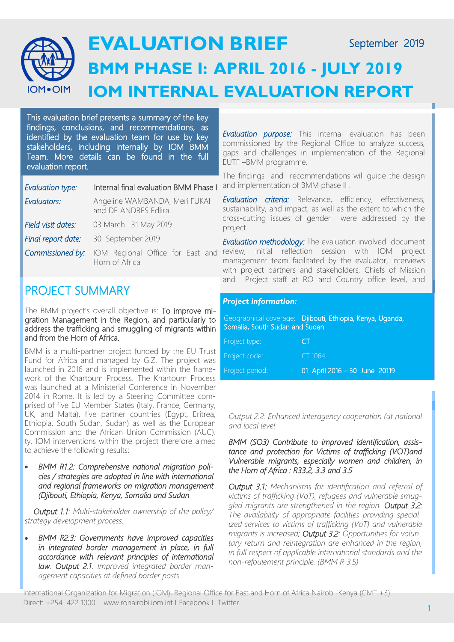

This evaluation brief presents a summary of the key findings, conclusions, and recommendations, as identified by the evaluation team for use by key stakeholders, including internally by IOM BMM Team. More details can be found in the full evaluation report.

| Evaluation type:   | Internal final evaluation BMM Phase I                 |  |
|--------------------|-------------------------------------------------------|--|
| Evaluators:        | Angeline WAMBANDA, Meri FUKAI<br>and DE ANDRES Edlira |  |
| Field visit dates: | 03 March -31 May 2019                                 |  |
| Final report date: | 30 September 2019                                     |  |
| Commissioned by:   | IOM Regional Office for East and<br>Horn of Africa    |  |

## PROJECT SUMMARY

The BMM project's overall objective is: To improve migration Management in the Region, and particularly to address the trafficking and smuggling of migrants within and from the Horn of Africa.

BMM is a multi-partner project funded by the EU Trust Fund for Africa and managed by GIZ. The project was launched in 2016 and is implemented within the framework of the Khartoum Process. The Khartoum Process was launched at a Ministerial Conference in November 2014 in Rome. It is led by a Steering Committee comprised of five EU Member States (Italy, France, Germany, UK, and Malta), five partner countries (Egypt, Eritrea, Ethiopia, South Sudan, Sudan) as well as the European Commission and the African Union Commission (AUC). ty. IOM interventions within the project therefore aimed to achieve the following results:

• *BMM R1.2: Comprehensive national migration policies / strategies are adopted in line with international and regional frameworks on migration management (Djibouti, Ethiopia, Kenya, Somalia and Sudan*

 *Output 1.1: Multi-stakeholder ownership of the policy/ strategy development process.*

• *BMM R2.3: Governments have improved capacities in integrated border management in place, in full accordance with relevant principles of international law. Output 2.1: Improved integrated border management capacities at defined border posts* 

*Evaluation purpose:* This internal evaluation has been commissioned by the Regional Office to analyze success, gaps and challenges in implementation of the Regional EUTF –BMM programme.

The findings and recommendations will guide the design and implementation of BMM phase II .

*Evaluation criteria:* Relevance, efficiency, effectiveness, sustainability, and impact, as well as the extent to which the cross-cutting issues of gender were addressed by the project.

*Evaluation methodology:* The evaluation involved document review, initial reflection session with IOM project management team facilitated by the evaluator, interviews with project partners and stakeholders, Chiefs of Mission and Project staff at RO and Country office level, and

## *Project information:*

Geographical coverage: Djibouti, Ethiopia, Kenya, Uganda, Somalia, South Sudan and Sudan

| Project type:   | CΤ                            |
|-----------------|-------------------------------|
| Project code:   | CT 1064                       |
| Project period: | 01 April 2016 - 30 June 20119 |

*Output 2.2: Enhanced interagency cooperation (at national and local level*

*BMM (SO3) Contribute to improved identification, assistance and protection for Victims of trafficking (VOT)and Vulnerable migrants, especially women and children, in the Horn of Africa : R33.2, 3.3 and 3.5* 

*Output 3.1: Mechanisms for identification and referral of victims of trafficking (VoT), refugees and vulnerable smuggled migrants are strengthened in the region. Output 3.2: The availability of appropriate facilities providing specialized services to victims of trafficking (VoT) and vulnerable migrants is increased; Output 3.2: Opportunities for voluntary return and reintegration are enhanced in the region, in full respect of applicable international standards and the non-refoulement principle. (BMM R 3.5)* 

International Organization for Migration (IOM), Regional Office for East and Horn of Africa Nairobi-Kenya (GMT +3) Direct: +254 422 1000 www.ronairobi.iom.int I Facebook I Twitter